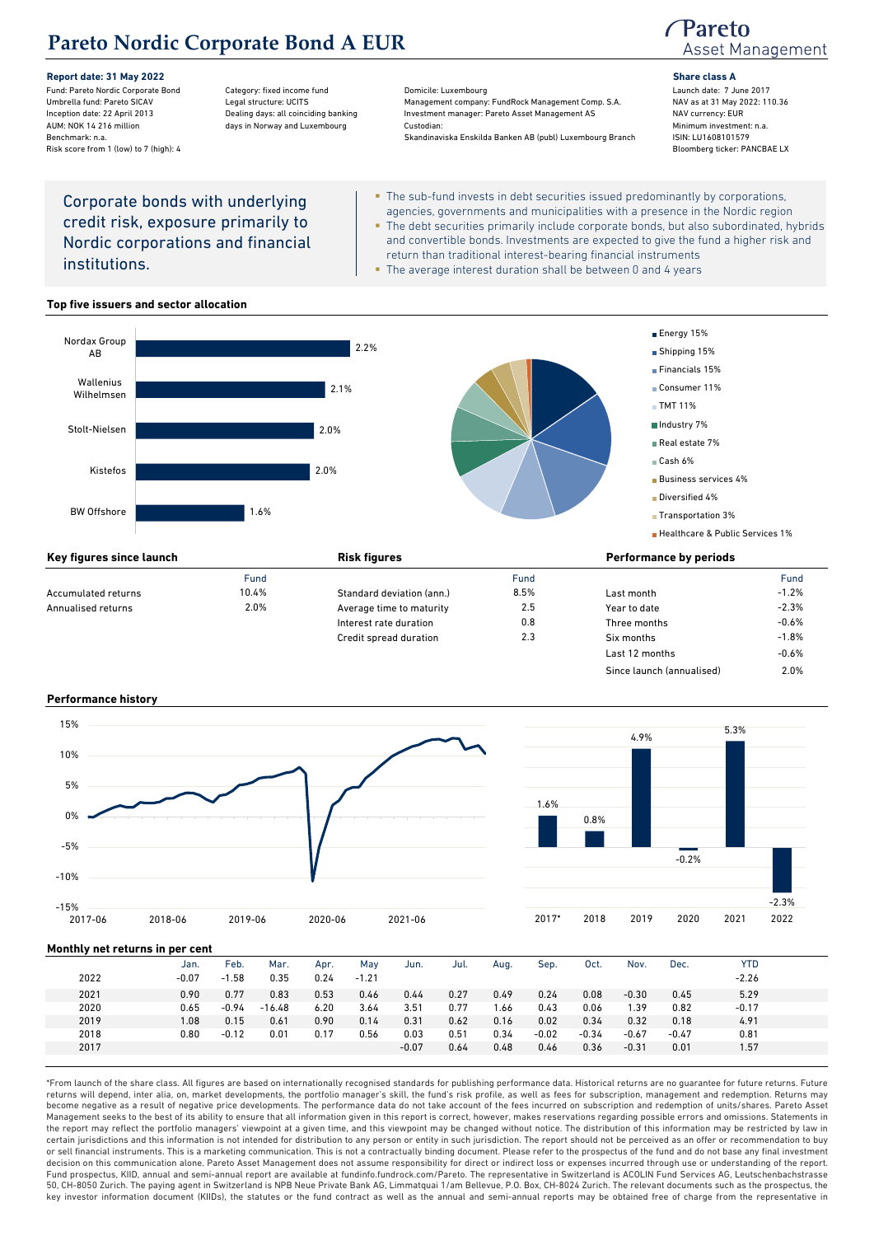# **Pareto Nordic Corporate Bond A EUR**

Risk score from 1 (low) to 7 (high): 4

**Report date: 31 May 2022 Share class A** Fund: Pareto Nordic Corporate Bond Category: fixed income fund Domicile: Luxembourg Launch date: 7 June 2017 Management company: FundRock Management Comp. S.A. Inception date: 22 April 2013 **Dealing days: all coinciding banking** Investment manager: Pareto Asset Management AS NAV currency: EUR AUM: NOK 14 216 million and the state of days in Norway and Luxembourg Custodian: Custodian: All the state of the minimum investment: n.a<br>All Skandinaviska Enskilda Banken AB (publ) Luxembourg Branch ISIN: LU1608101579 Benchmark: n.a. Skandinaviska Enskilda Banken AB (publ) Luxembourg Branch ISIN: LU1608101579<br>Risk score from 1 (low) to 7 (high): 4 (see EANCBAE LX

## Pareto Asset Management

## Corporate bonds with underlying credit risk, exposure primarily to Nordic corporations and financial institutions.

- The sub-fund invests in debt securities issued predominantly by corporations, agencies, governments and municipalities with a presence in the Nordic region The debt securities primarily include corporate bonds, but also subordinated, hybrids and convertible bonds. Investments are expected to give the fund a higher risk and return than traditional interest-bearing financial instruments
- The average interest duration shall be between 0 and 4 years

### **Top five issuers and sector allocation**



|                     | Fund  |                           | Fund |                | Fund    |
|---------------------|-------|---------------------------|------|----------------|---------|
| Accumulated returns | 10.4% | Standard deviation (ann.) | 8.5% | Last month     | $-1.2%$ |
| Annualised returns  | 2.0%  | Average time to maturity  | 2.5  | Year to date   | $-2.3%$ |
|                     |       | Interest rate duration    | 0.8  | Three months   | $-0.6%$ |
|                     |       | Credit spread duration    | 2.3  | Six months     | $-1.8%$ |
|                     |       |                           |      | Last 12 months | $-0.6%$ |

Since launch (annualised) 2.0%

#### **Performance history**





## **Monthly net returns in per cent**

|      | Jan.    | Feb.    | Mar.     | Apr. | May     | Jun.    | Jul. | Aug. | Sep.    | Oct.    | Nov.    | Dec.    | <b>YTD</b> |  |
|------|---------|---------|----------|------|---------|---------|------|------|---------|---------|---------|---------|------------|--|
| 2022 | $-0.07$ | $-1.58$ | 0.35     | 0.24 | $-1.21$ |         |      |      |         |         |         |         | $-2.26$    |  |
| 2021 | 0.90    | 0.77    | 0.83     | 0.53 | 0.46    | 0.44    | 0.27 | 0.49 | 0.24    | 0.08    | $-0.30$ | 0.45    | 5.29       |  |
| 2020 | 0.65    | $-0.94$ | $-16.48$ | 6.20 | 3.64    | 3.51    | 0.77 | 1.66 | 0.43    | 0.06    | 39،،    | 0.82    | $-0.17$    |  |
| 2019 | .08     | 0.15    | 0.61     | 0.90 | 0.14    | 0.31    | 0.62 | 0.16 | 0.02    | 0.34    | 0.32    | 0.18    | 4.91       |  |
| 2018 | 0.80    | $-0.12$ | 0.01     | 0.17 | 0.56    | 0.03    | 0.51 | 0.34 | $-0.02$ | $-0.34$ | $-0.67$ | $-0.47$ | 0.81       |  |
| 2017 |         |         |          |      |         | $-0.07$ | 0.64 | 0.48 | 0.46    | 0.36    | $-0.31$ | 0.01    | 1.57       |  |
|      |         |         |          |      |         |         |      |      |         |         |         |         |            |  |

\*From launch of the share class. All figures are based on internationally recognised standards for publishing performance data. Historical returns are no guarantee for future returns. Future returns will depend, inter alia, on, market developments, the portfolio manager's skill, the fund's risk profile, as well as fees for subscription, management and redemption. Returns may become negative as a result of negative price developments. The performance data do not take account of the fees incurred on subscription and redemption of units/shares. Pareto Asset Management seeks to the best of its ability to ensure that all information given in this report is correct, however, makes reservations regarding possible errors and omissions. Statements in the report may reflect the portfolio managers' viewpoint at a given time, and this viewpoint may be changed without notice. The distribution of this information may be restricted by law in certain jurisdictions and this information is not intended for distribution to any person or entity in such jurisdiction. The report should not be perceived as an offer or recommendation to buy or sell financial instruments. This is a marketing communication. This is not a contractually binding document. Please refer to the prospectus of the fund and do not base any final investment decision on this communication alone. Pareto Asset Management does not assume responsibility for direct or indirect loss or expenses incurred through use or understanding of the report. Fund prospectus, KIID, annual and semi-annual report are available at fundinfo.fundrock.com/Pareto. The representative in Switzerland is ACOLIN Fund Services AG, Leutschenbachstrasse 50, CH-8050 Zurich. The paying agent in Switzerland is NPB Neue Private Bank AG, Limmatquai 1/am Bellevue, P.O. Box, CH-8024 Zurich. The relevant documents such as the prospectus, the key investor information document (KIIDs), the statutes or the fund contract as well as the annual and semi-annual reports may be obtained free of charge from the representative in